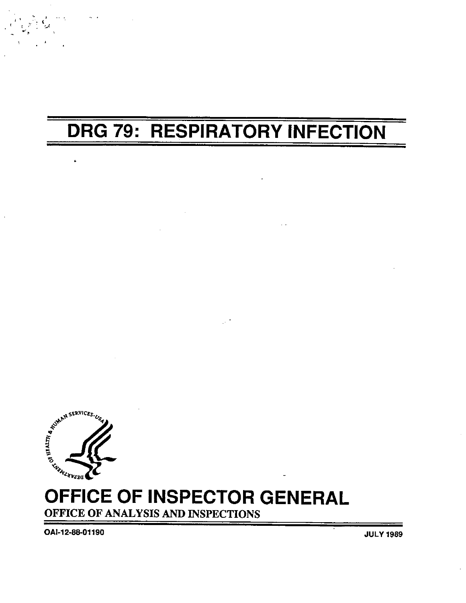# **DRG 79: RESPIRATORY INFECTION**



## OFFICE OF INSPECTOR GENERAL OFFICE OF ANALYSIS AND INSPECTIONS

OAI-12-88-01190

**JULY 1989**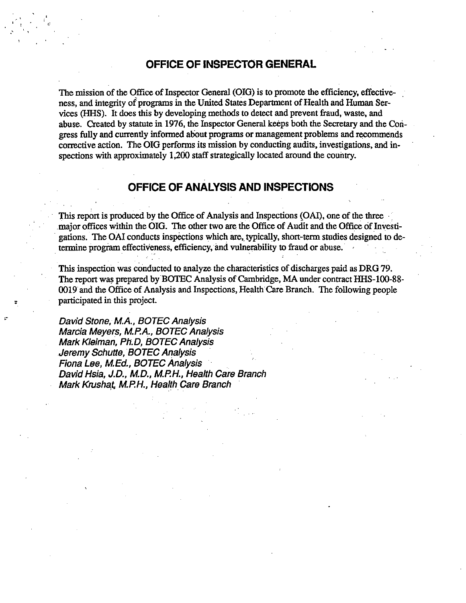#### OFFICE OF INSPECTOR GENERAL

The mission of the Office of Inspector General (OIG) is to promote the efficiency, effectiveness, and integrity of programs in the United States Department of Health and Human Services (HHS). It does this by developing methods to detect and prevent fraud, waste, and abuse. Created by statute in 1976, the Inspector General keeps both the Secretary and the Congress fully and curently inormed about programs or management problems and reommends corrective action. The OIG performs its mission by conducting audits, investigations, and inspections with approximately  $1,200$  staff strategically located around the country.

#### OFFICE OF ANALYSIS AND INSPECTIONS

This report is produced by the Office of Analysis and Inspections (OAI), one of the three major offices within the OIG. The other two are the Office of Audit and the Office of Investieations. The OAI conducts inspections which are, typically, short-term studies designed to determine program effectiveness, efficiency, and vulnerability to fraud or abuse.

This inspection was conducted to analyze the charcteristics of discharges paid as DRG79. The report was prepared by BOTEC Analysis of Cambridge, MA under contract HHS-100-88-0019 and the Offce of Analysis and Inspections, Health Cae Branch. The followig people participated in this project.

David Stone, M.A., BOTEC Analysis Marcia Meyers, M.P.A., BOTEC Analysis Mark Kleiman, Ph.D, BOTEC Analysis Jeremy Schutte, BOTEC Analysis Fiona Lee, M.Ed., BOTEC Analysis David Hsia, J.D., M.D., M.P.H., Health Care Branch Mark Krushat, M.P.H., Health Care Branch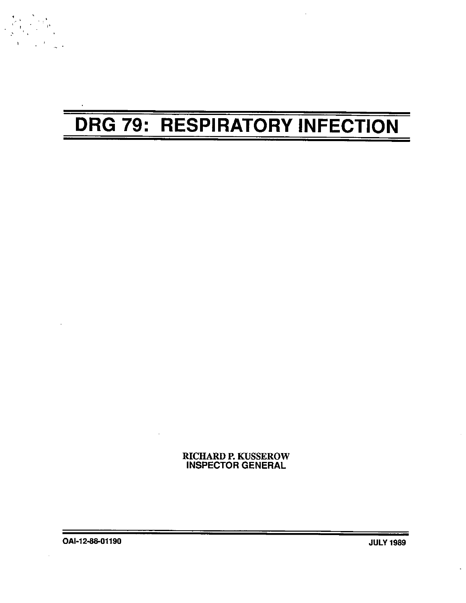# DRG 79: RESPIRATORY INFECTION

RICHARD P. KUSSEROW INSPECTOR GENERAL

OAI-12-88-01190 JULY 1989

 $\label{eq:2} \frac{1}{\sqrt{2}}\sum_{i=1}^{N} \frac{1}{t_i}$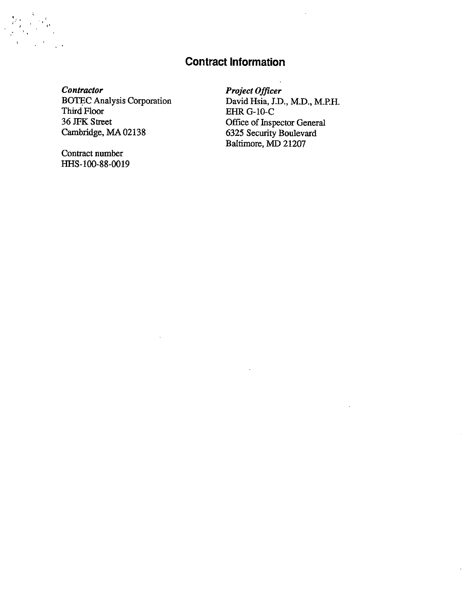### **Contract Information**

Contractor **BOTEC Analysis Corporation** Third Floor 36 JFK Street Cambridge, MA 02138

Contract number HHS-100-88-0019 Project Officer David Hsia, J.D., M.D., M.P.H. **EHR G-10-C** Office of Inspector General 6325 Security Boulevard Baltimore, MD 21207

 $\ddot{\phantom{a}}$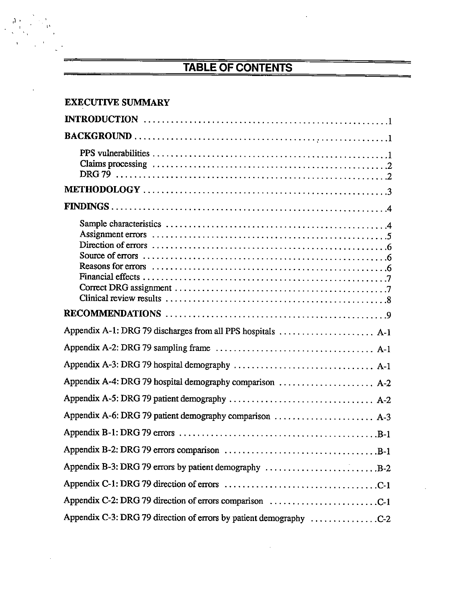# TABLE OF CONTENTS

 $\frac{\partial}{\partial t} \frac{\partial}{\partial t} \frac{\partial}{\partial x}$ 

| <b>EXECUTIVE SUMMARY</b>                                                                                              |
|-----------------------------------------------------------------------------------------------------------------------|
|                                                                                                                       |
|                                                                                                                       |
|                                                                                                                       |
|                                                                                                                       |
|                                                                                                                       |
|                                                                                                                       |
|                                                                                                                       |
| Appendix A-1: DRG 79 discharges from all PPS hospitals  A-1                                                           |
|                                                                                                                       |
|                                                                                                                       |
| Appendix A-4: DRG 79 hospital demography comparison $\ldots \ldots \ldots \ldots \ldots$                              |
|                                                                                                                       |
|                                                                                                                       |
|                                                                                                                       |
| Appendix B-2: DRG 79 errors comparison $\ldots \ldots \ldots \ldots \ldots \ldots \ldots \ldots \ldots \ldots \ldots$ |
| Appendix B-3: DRG 79 errors by patient demography $\dots\dots\dots\dots\dots\dots\dots\dots B-2$                      |
|                                                                                                                       |
| Appendix C-2: DRG 79 direction of errors comparison C-1                                                               |
| Appendix C-3: DRG 79 direction of errors by patient demography C-2                                                    |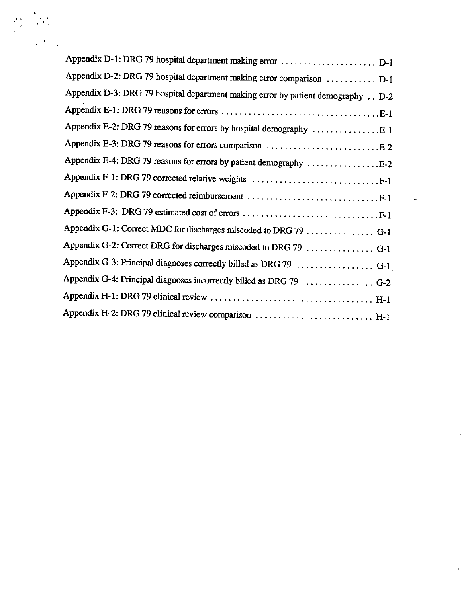| Appendix D-1: DRG 79 hospital department making error  D-1                      |
|---------------------------------------------------------------------------------|
| Appendix D-2: DRG 79 hospital department making error comparison  D-1           |
| Appendix D-3: DRG 79 hospital department making error by patient demography D-2 |
|                                                                                 |
| Appendix E-2: DRG 79 reasons for errors by hospital demography E-1              |
| Appendix E-3: DRG 79 reasons for errors comparison E-2                          |
| Appendix E-4: DRG 79 reasons for errors by patient demography E-2               |
| Appendix F-1: DRG 79 corrected relative weights F-1                             |
|                                                                                 |
|                                                                                 |
| Appendix G-1: Correct MDC for discharges miscoded to DRG 79 G-1                 |
| Appendix G-2: Correct DRG for discharges miscoded to DRG 79  G-1                |
| Appendix G-3: Principal diagnoses correctly billed as DRG 79  G-1               |
| Appendix G-4: Principal diagnoses incorrectly billed as DRG 79  G-2             |
|                                                                                 |
| Appendix H-2: DRG 79 clinical review comparison  H-1                            |
|                                                                                 |

 $\mathcal{A}^{\prime}$ 

 $\leftarrow$ 

 $\hat{\mathcal{L}}$ 

 $\mathbb{R}^2$ 

 $\pm$ 

 $\begin{array}{l} \left( \begin{array}{c} 2 \ 1 \\ 2 \ 1 \end{array} \right) \left( \begin{array}{c} 2 \ 1 \\ 2 \ 1 \end{array} \right) \\ \left( \begin{array}{c} 2 \ 1 \\ 2 \ 1 \end{array} \right) \left( \begin{array}{c} 2 \ 1 \\ 2 \ 1 \end{array} \right) \left( \begin{array}{c} 2 \ 1 \\ 2 \ 1 \end{array} \right) \\ \left( \begin{array}{c} 2 \ 1 \\ 1 \ 1 \end{array} \right) \left( \begin{array}{c} 2 \ 1 \\ 2 \ 1 \end{array} \right) \left( \begin{array}{$ 

 $\sim$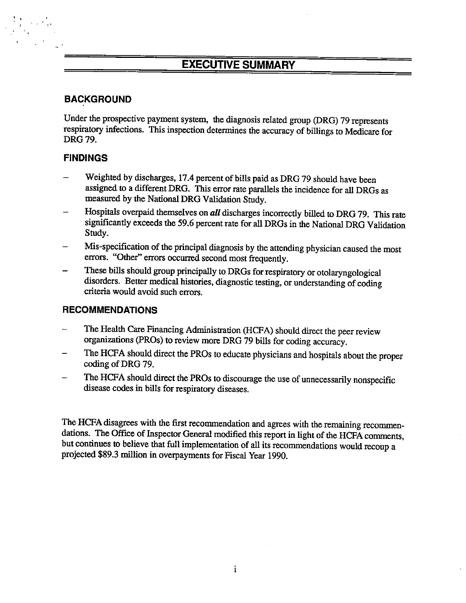### EXECUTIVE SUMMARY

### BACKGROUND

Under the prospective payment system, the diagnosis related group (DRG) 79 represents respiratory infections. This inspection determines the accuracy of billings to Medicare for DRG 79.

### FINDINGS

- Weighted by discharges, 17.4 percent of bils paid as DRG 79 should have been assigned to a different DRG. This error rate parallels the incidence for all DRGs as measured by the National DRG Validation Study.
- Hospitals overpaid themselves on all discharges incorrectly billed to DRG 79. This rate significantly exceeds the 59.6 percent rate for all DRGs in the National DRG Validation Study.
- Mis-specifcation of the principal diagnosis by the attending physician caused the most
- errors. "Other" errors occurred second most frequently.<br>These bills should group principally to DRGs for respiratory or otolaryngological disorders. Better medical histories, diagnostic testing, or understanding of coding criteria would avoid such errors.

### RECOMMENDATIONS

- The Health Care Financing Administration (HCFA) should direct the peer review organizations (PROs) to review more DRG 79 bills for coding accuracy.
- The HCFA should direct the PROs to educate physicians and hospitals about the proper coding of DRG 79.
- The HCFA should direct the PROs to discourage the use of unnecessarily nonspecific disease codes in bills for respiratory diseases.

The HCFA disagrees with the first recommendation and agrees with the remaining recommendations. The Office of Inspector General modified this report in light of the HCFA comments, but continues to believe that full implementation of all its recommendations would recoup a projected \$89.3 million in overpayments for Fiscal Year 1990.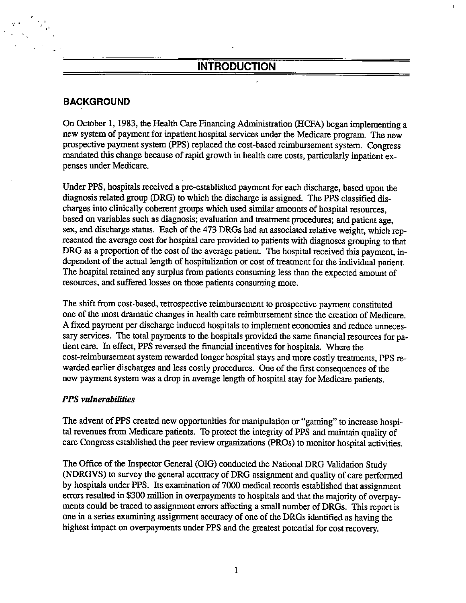### **INTRODUCTION**

### BACKGROUND

On October 1, 1983, the Health Care Financing Administration (HCFA) began implementing a new system of payment for inpatient hospital services under the Medicare program. The new prospective payment system (PPS) replaced the cost-based reimbursement system. Congress mandated this change because of rapid growth in health care costs, particularly inpatient expenses under Medicare.

Under PPS, hospitals received a pre-established payment for each discharge, based upon the diagnosis related group (DRG) to which the discharge is assigned. The PPS classified discharges into clinically coherent groups which used similar amounts of hospital resources, based on variables such as diagnosis; evaluation and treatment procedures; and patient age, sex, and discharge status. Each of the 473 DRGs had an associated relative weight, which represented the average cost for hospital care provided to patients with diagnoses grouping to that DRG as a proportion of the cost of the average patient. The hospital received this payment, independent of the actual length of hospitaization or cost of treatment for the individual patient. The hospital retained any surplus from patients consuming less than the expected amount of resources, and suffered losses on those patients consuming more.

The shift from cost-based, retrospective reimbursement to prospective payment constituted one of the most dramatic changes in health care reimbursement since the creation of Medicare. A fixed payment per discharge induced hospitals to implement economies and reduce unnecessary services. The total payments to the hospitals provided the same financial resources for patient care. In effect, PPS reversed the financial incentives for hospitals. Where the cost-reimburement system rewarded longer hospital stays and more costly treatments, PPS rewarded earlier discharges and less costly procedures. One of the first consequences of the new payment system was a drop in average length of hospital stay for Medicare patients.

#### PPS vulnerabilities

The advent of PPS created new opportunities for manipulation or "gaming" to increase hospital revenues from Medicare patients. To protect the integrity of PPS and maintain quality of care Congress established the peer review organizations (PROs) to monitor hospital activities.

The Office of the Inspector General (OIG) conducted the National DRG Validation Study (NDRGVS) to surey the general accuracy of DRG assignment and quality of care performed by hospitals under PPS. Its examination of 7000 medical records established that assignment errors resulted in \$300 milion in overpayments to hospitals and that the majority of overpayments could be traced to assignment errors affecting a small number of DRGs. This report is one in a series examining assignment accuracy of one of the DRGs identified as having the highest impact on overpayments under PPS and the greatest potential for cost recovery.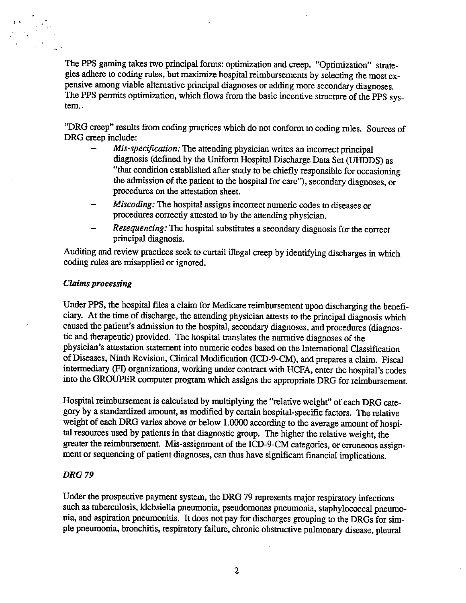The PPS gaming takes two principal forms: optimization and creep. "Optimization" strategies adhere to coding rules, but maximize hospital reimbursements by selecting the most expensive among viable alternative principal diagnoses or adding more secondary diagnoses. The PPS permits optimization, which flows from the basic incentive structure of the PPS system.

"DRG creep" results from coding practices which do not conform to coding rules. Sources of DRG creep include:

- Mis-specification: The attending physician writes an incorrect principal diagnosis (defined by the Uniform Hospital Discharge Data Set (UHDDS) as "that condition established after study to be chiefly responsible for occasioning the admission of the patient to the hospital for care"), secondary diagnoses, or procedures on the attestation sheet.
- Miscoding: The hospital assigns incorrect numeric codes to diseases or procedures correctly attested to by the attending physician.
- Resequencing: The hospital substitutes a secondary diagnosis for the correct principal diagnosis.

Auditing and review practices seek to curtail illegal creep by identifying discharges in which coding rules are misapplied or ignored.

#### **Claims processing**

Under PPS, the hospital files a claim for Medicare reimbursement upon discharging the beneficiary. At the time of discharge, the attending physician attests to the principal diagnosis which caused the patient's admission to the hospital, secondary diagnoses, and procedures (diagnostic and therapeutic) provided. The hospital translates the narrative diagnoses of the physician's attestation statement into numeric codes based on the International Classification of Diseases, Ninth Revision, Clinical Modification (ICD-9-CM), and prepares a claim. Fiscal intermediary (FI) organizations, working under contract with HCFA, enter the hospital's codes into the GROUPER computer program which assigns the appropriate DRG for reimbursement.

Hospital reimbursement is calculated by multiplying the "relative weight" of each DRG category by a standardized amount, as modified by certain hospital-specific factors. The relative weight of each DRG varies above or below 1.0000 according to the average amount of hospital resources used by patients in that diagnostic group. The higher the relative weight, the greater the reimbursement. Mis-assignment of the ICD-9-CM categories, or erroneous assignment or sequencing of patient diagnoses, can thus have significant financial implications.

#### **DRG 79**

Under the prospective payment system, the DRG 79 represents major respiratory infections such as tuberculosis, klebsiella pneumonia, pseudomonas pneumonia, staphylococcal pneumonia, and aspiration pneumonitis. It does not pay for discharges grouping to the DRGs for simple pneumonia, bronchitis, respiratory failure, chronic obstructive pulmonary disease, pleural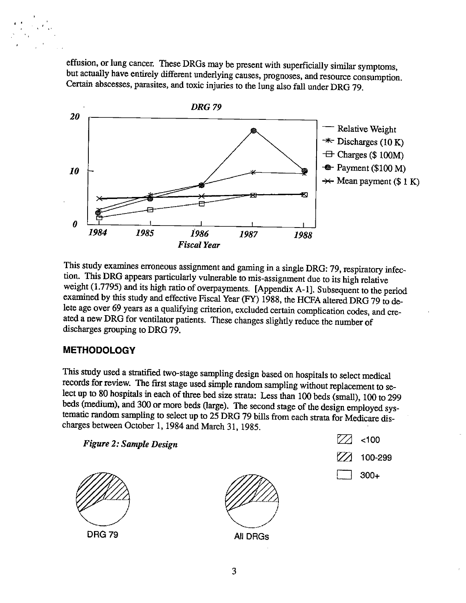effusion, or lung cancer. These DRGs may be present with superficially similar symptoms, but actually have entirely different underlying causes, prognoses, and resource consumption. Certain abscesses, parasites, and toxic injuries to the lung also fall under DRG 79.



This study examines erroneous assignment and gaming in a single DRG: 79, respiratory infection. This DRG appears particularly vulnerable to mis-assignment due to its high relative weight (1.7795) and its high ratio of overpayments. [Appendix A-1]. Subsequent to the period examined by this study and effective Fiscal Year (FY) 1988, the HCFA altered DRG 79 to delete age over 69 years as a qualifying criterion, excluded certain complication codes, and created a new DRG for ventilator patients. These changes slightly reduce the number of discharges grouping to DRG 79.

### **METHODOLOGY**

This study used a stratified two-stage sampling design based on hospitals to select medical records for review. The first stage used simple random sampling without replacement to select up to 80 hospitals in each of three beds (medium), and 300 or more beds (large). The second stage of the design employed systematic random sampling to select up to 25 DRG 79 bills from each strata for Medicare discharges between October 1, 1984 and March 31, tematic random sampling to select up to 25 DRG 79 bills from each strata for Medicare discharges between October 1, 1984 and March 31, 1985.<br>Figure 2: Sample Design  $\boxed{\bigtimes}$  <100





100-299

300+€

DRG 79 All DRGs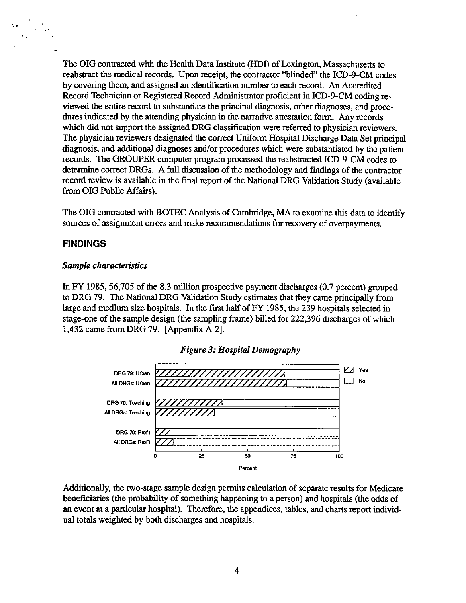The OIG contracted with the Health Data Institute (HDI) of Lexington, Massachusetts to reabstract the medical records. Upon receipt, the contractor "blinded" the ICD-9-CM codes by covering them, and assigned an identification number to each record. An Accredited Record Technician or Registered Record Administrator proficient in ICD-9-CM coding reviewed the entire record to substantiate the principal diagnosis, other diagnoses, and procedures indicated by the attending physician in the narrative attestation form. Any records which did not support the assigned DRG classification were referred to physician reviewers. The physician reviewers designated the correct Uniform Hospital Discharge Data Set principal diagnosis, and addtional diagnoses and/or proedures which were substantiated by the patient records. The GROUPER computer program processed the reabstracted ICD-9-CM codes to determine correct DRGs. A full discussion of the methodology and findings of the contractor record review is available in the final report of the National DRG Validation Study (available from DIG Public Affais).

The OIG contracted with BOTEC Analysis of Cambridge, MA to examine this data to identify sources of assignment errors and make recommendations for recovery of overpayments.

#### FINDINGS

#### Sample characteristics

In FY 1985. 56,705 of the 8.3 milion prospective payment discharges (0.7 percent) grouped to DRG 79. The National DRG Validation Study estimates that they came principally from large and medium size hospitals. In the first half of FY 1985, the 239 hospitals selected in stage-one of the sample design (the sampling frame) biled for 222 396 discharges of which 432 came from DRG 79. (Appendix A-2).



#### Figure 3: Hospital Demography

Additionally, the two-stage sample design permits calculation of separate results for Medicare beneficiaries (the probability of something happening to a person) and hospitals (the odds of an event at a particular hospital). Therefore, the appendices, tables, and charts report individual totals weighted by both discharges and hospitals.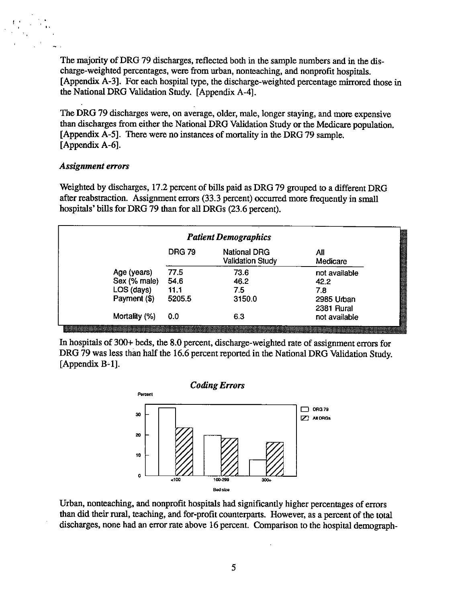The majority of DRG 79 discharges, reflected both in the sample numbers and in the discharge-weighted percentages, were from urban, nonteaching, and nonprofit hospitas. [Appendix A-3]. For each hospital type, the discharge-weighted percentage mirrored those in the National DRG Valdation Study. (Appendix A-4).

The DRG 79 discharges were, on average, older, male, longer staying, and more expensive than discharges from either the National DRG Validation Study or the Medicare population. (Appendix A-5). There were no instances of mortality in the DRG 79 sample.  $[Appendix A-6].$ 

#### Assignment errors

Weighted by dicharges, 17.2 percent of bils paid as DRG 79 grouped to a different DRG after reabstraction. Assignment errors (33.3 percent) occurred more frequently in small hospitals' bills for DRG 79 than for all DRGs (23.6 percent).

| <b>Patient Demographics</b> |               |                                                |                 |  |  |  |
|-----------------------------|---------------|------------------------------------------------|-----------------|--|--|--|
|                             | <b>DRG 79</b> | <b>National DRG</b><br><b>Validation Study</b> | All<br>Medicare |  |  |  |
| Age (years)                 | 77.5          | 73.6                                           | not available   |  |  |  |
| Sex (% male)                | 54.6          | 46.2                                           | 42.2            |  |  |  |
| LOS (days)                  | 11.1          | 7.5                                            | 7.8             |  |  |  |
| Payment (\$)                | 5205.5        | 3150.0                                         | 2985 Urban      |  |  |  |
|                             |               |                                                | 2381 Rural      |  |  |  |
| Mortality (%)               | 0.0           | 6.3                                            | not available   |  |  |  |

In hospitals of 300+ beds, the 8.0 percent, discharge-weighted rate of assignment errors for DRG 79 was less than half the 16.6 percent reported in the National DRG Validation Study. [Appendix B-1].



Urban, nonteaching, and nonprofit hospitals had significantly higher percentages of errors ordan, noncaening, and nonprofit nospitals had significantly inglied percentages of errors<br>than did their rural, teaching, and for-profit counterparts. However, as a percent of the total discharges, none had an error rate above 16 percent. Comparison to the hospital demograph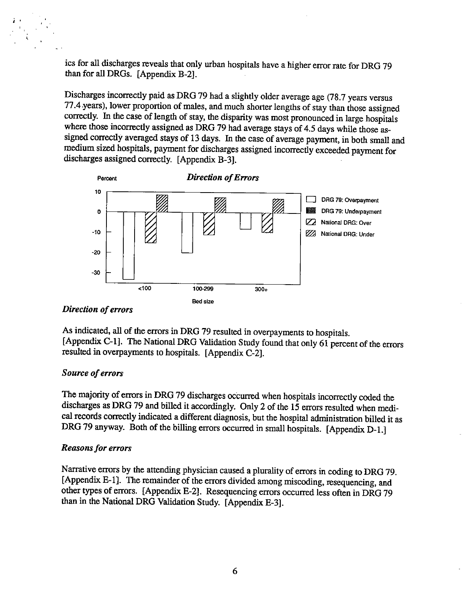ics for all discharges reveals that only urban hospitals have a higher error rate for DRG 79 than for all DRGs. [Appendix B-2].

Discharges incorrectly paid as DRG 79 had a slightly older average age (78.7 years versus 77.4 years), lower proportion of males, and much shorter lengths of stay than those assigned correctly. In the case of length of stay, the disparity was most pronounced in large hospitals where those incorrectly assigned as DRG 79 had average stays of 4.5 days while those aswhere those incorrectly assigned as DRG 79 had average stays of 4.5 days while those as-<br>signed correctly averaged stays of 13 days. In the case of average payment, in both small and<br>medium sized hospitals, payment for dis medium sized hospitals, payment for discharges assigned incorrectly exceeded payment for discharges assigned correctly. [Appendix B-3].



#### Direction of errors

As indicated, all of the errors in DRG 79 resulted in overpayments to hospitals. [Appendix C-1]. The National DRG Validation Study found that only  $61$  percent of the errors resulted in overpayments to hospitals. [Appendix C-2].

### Source of errors

The majority of errors in DRG 79 discharges occurred when hospitals incorrectly coded the discharges as DRG 79 and billed it accordingly. Only 2 of the 15 errors resulted when medical records correctly indicated a different diagnosis, but the hospital administration billed it as DRG 79 anyway. Both of the billing errors occurred in small hospitals. [Appendix D-1.]

#### Reasons for errors

Narrative errors by the attending physician caused a plurality of errors in coding to DRG 79. [Appendix E-1]. The remainder of the errors divided among miscoding, resequencing, and other types of errors. [Appendix E-2]. Resequencing errors occurred less often in DRG 79 than in the National DRG Validation Study. [Appendix E-3].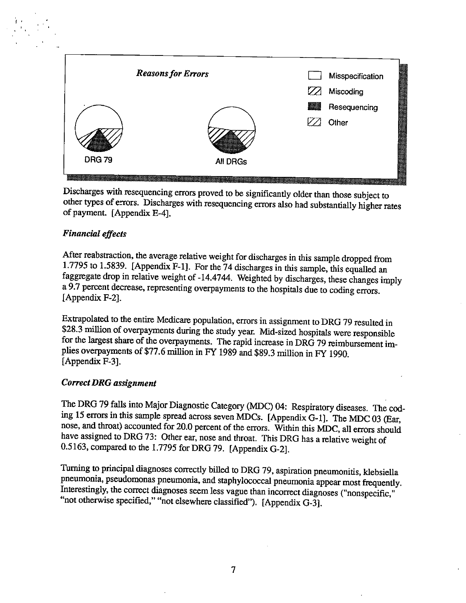

Discharges with resequencing errors proved to be significantly older than those subject to other types of errors. Discharges with resequencing errors also had substantially higher rates of payment. [Appendix E-4].

### Financial effects€

After reabstraction, the average relative weight for discharges in this sample dropped from 1.7795 to 1.5839. [Appendix F-1]. For the 74 discharges in this sample, this equalled an faggregate drop in relative weight of -14.4744. Weighted by discharges, these changes imply a 9.7 percent decrease, representing overpayments to the hospitals due to coding errors. [Appendix F-2].

Extrapolated to the entire Medicare population, errors in assignment to DRG 79 resulted in \$28.3 million of overpayments during the study year. Mid-sized hospitals were responsible for the largest share of the overpayments plies overpayments of \$77.6 million in FY 1989 and \$89.3 millon in FY 1990.  $[Appendix F-3]$ .

### Correct DRG assignment

The DRG 79 falls into Major Diagnostic Category (MDC) 04: Respiratory diseases. The coding 15 errors in this sample spread across seven MDCs. [Appendix G-1]. The MDC 03 (Ear, nose, and throat) accounted for 20.0 percent of have assigned to DRG 73: Other ear, nose and throat. This DRG has a relative weight of 0.5163, compared to the 1.7795 for DRG 79. [Appendix G-2].

Turning to principal diagnoses correctly billed to DRG 79, aspiration pneumonitis, klebsiella pneumonia, pseudomonas pneumonia, and staphylococcal pneumonia appear most frequently. Interestingly, the correct diagnoses seem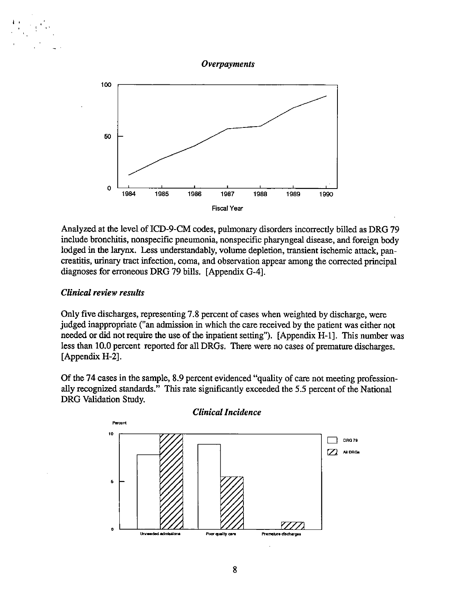



Analyzed at the level of ICD-9-CM codes, pulmonary disorders incorrectly billed as DRG 79 include bronchitis, nonspecific pneumonia, nonspecific pharyngeal disease, and foreign body lodged in the larynx. Less understandably, volume depletion, transient ischemic attack, pancreatitis, urinary tract infection, coma, and observation appear among the corrected principal diagnoses for erroneous DRG 79 bills. [Appendix G-4].

#### **Clinical review results**

Only five discharges, representing 7.8 percent of cases when weighted by discharge, were judged inappropriate ("an admission in which the care received by the patient was either not needed or did not require the use of the inpatient setting"). [Appendix H-1]. This number was less than 10.0 percent reported for all DRGs. There were no cases of premature discharges. [Appendix H-2].

Of the 74 cases in the sample, 8.9 percent evidenced "quality of care not meeting professionally recognized standards." This rate significantly exceeded the 5.5 percent of the National DRG Validation Study.

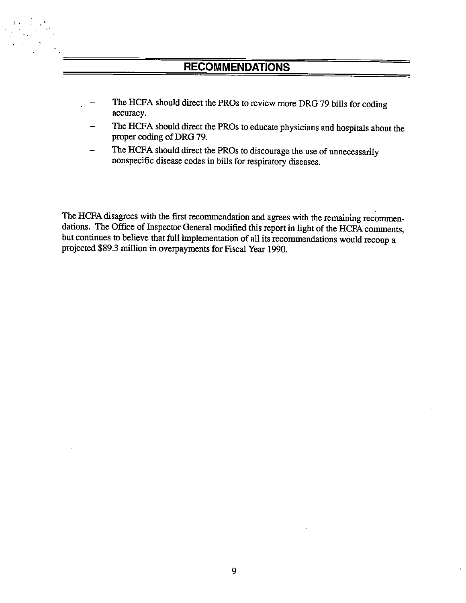### RECOMMENDATIONS

- The HCFA should direct the PROs to review more DRG 79 bills for coding accuracy.
- The HCFA should direct the PROs to educate physicians and hospitals about the proper coding of DRG 79.
- The HCFA should direct the PROs to discourage the use of unnecessarily nonspecifc disease codes in bils for respiratory diseases.

The HCFA disagrees with the first recommendation and agrees with the remaining recommendations. The Office of Inspector General modified this report in light of the HCFA comments, but continues to believe that full implementation of all its recommendations would recoup a projected \$89.3 millon in overpayments for Fiscal Year 1990.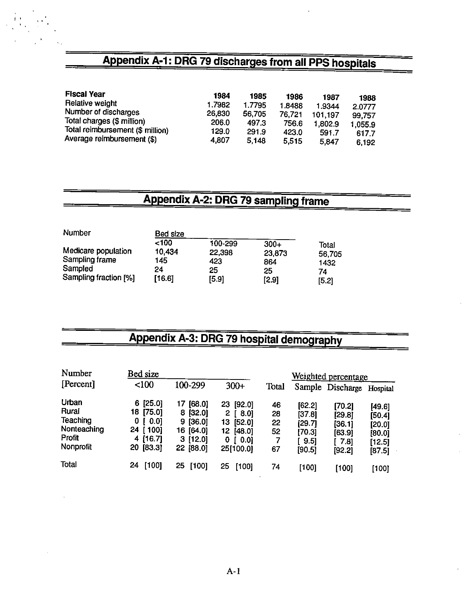# Appendix A-1: DRG 79 discharges from all PPS hospitals

| <b>Fiscal Year</b>               | 1984   | 1985   | 1986   | 1987    | 1988    |
|----------------------------------|--------|--------|--------|---------|---------|
| Relative weight                  | 1.7982 | 1.7795 | 1.8488 | 1.9344  | 2.0777  |
| Number of discharges             | 26,830 | 56,705 | 76.721 | 101.197 | 99.757  |
| Total charges (\$ million)       | 206.0  | 497.3  | 756.6  | 1,802.9 | 1.055.9 |
| Total reimbursement (\$ million) | 129.0  | 291.9  | 423.0  | 591.7   | 617.7   |
| Average reimbursement (\$)       | 4.807  | 5.148  | 5.515  | 5.847   | 6.192   |

# Appendix A-2: DRG 79 sampling frame

| Number                                                                    | Bed size                              |                                         |                                        |                                        |
|---------------------------------------------------------------------------|---------------------------------------|-----------------------------------------|----------------------------------------|----------------------------------------|
| Medicare population<br>Sampling frame<br>Sampled<br>Sampling fraction [%] | ~100<br>10,434<br>145<br>24<br>[16.6] | 100-299<br>22,398<br>423<br>25<br>[5.9] | $300+$<br>23,873<br>864<br>25<br>[2.9] | Total<br>56,705<br>1432<br>74<br>[5.2] |

# Appendix A-3: DRG 79 hospital demography

| Number      | Bed size               |              |                      |       |        | Weighted percentage |          |  |
|-------------|------------------------|--------------|----------------------|-------|--------|---------------------|----------|--|
| [Percent]   | < 100                  | 100-299      | $300+$               | Total |        | Sample Discharge    | Hospital |  |
| Urban       | [25.0]<br>6.           | [68.0]<br>17 | [92.0]<br>23         | 46    | [62.2] | [70.2]              | [49.6]   |  |
| Rurai       | 18 [75.0]              | $8$ [32.0]   | 2.<br>$\sqrt{3}$ .01 | 28    | [37.8] | [29.8]              | [50.4]   |  |
| Teaching    | $\vert 0.0 \vert$<br>0 | 9 [36.0]     | [52.0]<br>13.        | 22    | [29.7] | [36.1]              | [20.0]   |  |
| Nonteaching | 24 [ 100]              | 16 [64.0]    | 12<br>[48.0]         | 52    | [70.3] | [63.9]              | [80.0]   |  |
| Profit      | [16.7]<br>4            | 3[12.0]      | [0.0]<br>0           | 7     | [ 9.5] | [ 7.8]              | [12.5]   |  |
| Nonprofit   | [83.3]<br>20           | 22 [88.0]    | 25[100.0]            | 67    | [90.5] | [92.2]              | [87.5]   |  |
| Total       | [100]<br>24            | 25<br>[100]  | 25<br>[100]          | 74    | [100]  | [100]               | [100]    |  |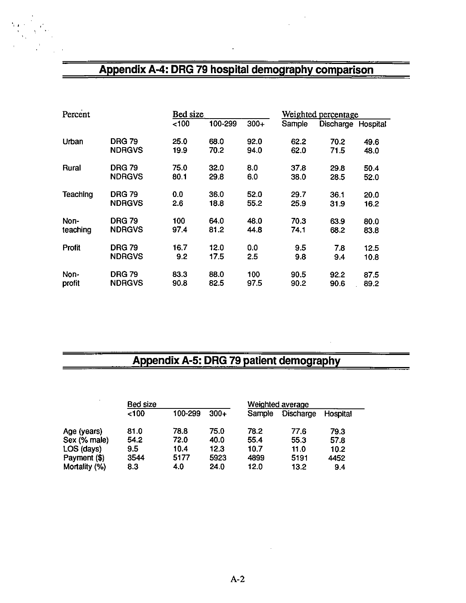### Appendix A-4: DRG 79 hospital demography comparison

| Percent       |               |      | Bed size |        |        | Weighted percentage |          |  |
|---------------|---------------|------|----------|--------|--------|---------------------|----------|--|
|               |               | 100  | 100-299  | $300+$ | Sample | Discharge           | Hospital |  |
| Urban         | <b>DRG 79</b> | 25.0 | 68.0     | 92.0   | 62.2   | 70.2                | 49.6     |  |
|               | <b>NDRGVS</b> | 19.9 | 70.2     | 94.0   | 62.0   | 71.5                | 48.0     |  |
| <b>Rural</b>  | <b>DRG 79</b> | 75.0 | 32.0     | 8.0    | 37.8   | 29.8                | 50.4     |  |
|               | <b>NDRGVS</b> | 80.1 | 29.8     | 6.0    | 38.0   | 28.5                | 52.0     |  |
| Teaching      | <b>DRG 79</b> | 0.0  | 36.0     | 52.0   | 29.7   | 36.1                | 20.0     |  |
|               | <b>NDRGVS</b> | 2.6  | 18.8     | 55.2   | 25.9   | 31.9                | 16.2     |  |
| Non-          | <b>DRG 79</b> | 100  | 64.0     | 48.0   | 70.3   | 63.9                | 80.0     |  |
| teaching      | <b>NDRGVS</b> | 97.4 | 81.2     | 44.8   | 74.1   | 68.2                | 83.8     |  |
| <b>Profit</b> | <b>DRG 79</b> | 16.7 | 12.0     | 0.0    | 9.5    | 7.8                 | 12.5     |  |
|               | <b>NDRGVS</b> | 9.2  | 17.5     | 2.5    | 9.8    | 9.4                 | 10.8     |  |
| Non-          | <b>DRG 79</b> | 83.3 | 88.0     | 100    | 90.5   | 92.2                | 87.5     |  |
| profit        | <b>NDRGVS</b> | 90.8 | 82.5     | 97.5   | 90.2   | 90.6                | 89.2     |  |

# Appendix A-5: DRG 79 patient demography

| $\sim$        | Bed size |         |        | Weighted average |                  |          |  |
|---------------|----------|---------|--------|------------------|------------------|----------|--|
|               | 100      | 100-299 | $300+$ | Sample           | <b>Discharge</b> | Hospital |  |
| Age (years)   | 81.0     | 78.8    | 75.0   | 78.2             | 77.6             | 79.3     |  |
| Sex (% male)  | 54.2     | 72.0    | 40.0   | 55.4             | 55.3             | 57.8     |  |
| LOS (days)    | 9.5      | 10.4    | 12.3   | 10.7             | 11.0             | 10.2     |  |
| Payment (\$)  | 3544     | 5177    | 5923   | 4899             | 5191             | 4452     |  |
| Mortality (%) | 8.3      | 4.0     | 24.0   | 12.0             | 13.2             | 9.4      |  |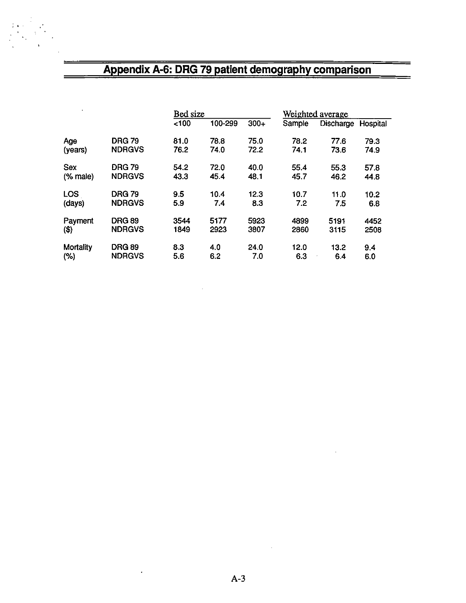### Appendix A-6: DRG 79 patient demography comparison

|                            |               |      | Bed size |        |        | Weighted average   |      |
|----------------------------|---------------|------|----------|--------|--------|--------------------|------|
|                            |               | 100  | 100-299  | $300+$ | Sample | Discharge Hospital |      |
| Age                        | <b>DRG 79</b> | 81.0 | 78.8     | 75.0   | 78.2   | 77.6               | 79.3 |
| (years)                    | <b>NDRGVS</b> | 76.2 | 74.0     | 72.2   | 74.1   | 73.6               | 74.9 |
| <b>Sex</b>                 | <b>DRG 79</b> | 54.2 | 72.0     | 40.0   | 55.4   | 55.3               | 57.8 |
| $%$ male)                  | <b>NDRGVS</b> | 43.3 | 45.4     | 48.1   | 45.7   | 46.2               | 44.8 |
| <b>LOS</b>                 | <b>DRG 79</b> | 9.5  | 10.4     | 12.3   | 10.7   | 11.0               | 10.2 |
| (days)                     | <b>NDRGVS</b> | 5.9  | 7.4      | 8.3    | 7.2    | 7.5                | 6.8  |
| Payment                    | <b>DRG 89</b> | 3544 | 5177     | 5923   | 4899   | 5191               | 4452 |
| $\left( \mathbb{S}\right)$ | <b>NDRGVS</b> | 1849 | 2923     | 3807   | 2860   | 3115               | 2508 |
| Mortality                  | <b>DRG 89</b> | 8.3  | 4.0      | 24.0   | 12.0   | 13.2               | 9.4  |
| (% )                       | <b>NDRGVS</b> | 5.6  | 6.2      | 7.0    | 6.3    | 64                 | 6.0  |

 $\overline{\phantom{a}}$ 

 $\hat{\mathcal{L}}$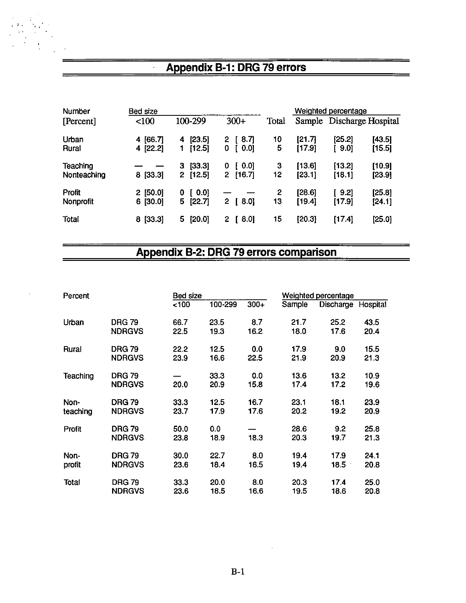### Appendix B-1: DRG 79 errors

| Number                  | Bed size                  |                                       |                           |                    |                  | Weighted percentage |                           |
|-------------------------|---------------------------|---------------------------------------|---------------------------|--------------------|------------------|---------------------|---------------------------|
| [Percent]               | < 100                     | 100-299                               | $300+$                    | Total              |                  |                     | Sample Discharge Hospital |
| Urban<br>Rural          | 4 [66.7]<br>4 [22.2]      | [23.5]<br>4<br>[12.5]                 | 8.7<br>2<br>0<br>0.0]     | 10<br>5            | [21.7]<br>[17.9] | [25.2]<br>[9.0]     | [43.5]<br>[15.5]          |
| Teaching<br>Nonteaching | 8 [33.3]                  | [33.3]<br>З<br>[12.5]<br>$\mathbf{2}$ | [0.0]<br>0<br>[16.7]<br>2 | З<br>12            | [13.6]<br>[23.1] | [13.2]<br>[18.1]    | [10.9]<br>[23.9]          |
| Profit<br>Nonprofit     | $2$ [50.0]<br>[30.0]<br>6 | [0.0]<br>0<br>5<br>[22.7]             | $8.0$ ]<br>2              | $\mathbf{2}$<br>13 | [28.6]<br>[19.4] | [9.2]<br>[17.9]     | [25.8]<br>[24.1]          |
| Total                   | 8 [33.3]                  | 5.<br>$[20.0]$                        | [ 8.0]<br>2               | 15                 | [20.3]           | [17.4]              | [25.0]                    |

### Appendix B-2: DRG 79 errors comparison

| Percent  |                                | <b>Bed size</b> |              |             |              | Weighted percentage |              |  |
|----------|--------------------------------|-----------------|--------------|-------------|--------------|---------------------|--------------|--|
|          |                                | 100             | 100-299      | $300+$      | Sample       | Discharge           | Hospital     |  |
| Urban    | <b>DRG 79</b>                  | 66.7            | 23.5         | 8.7         | 21.7         | 25.2                | 43.5         |  |
|          | <b>NDRGVS</b>                  | 22.5            | 19.3         | 16.2        | 18.0         | 17.6                | 20.4         |  |
| Rural    | <b>DRG 79</b>                  | 22.2            | 12.5         | 0.0         | 17.9         | 9.0                 | 15.5         |  |
|          | <b>NDRGVS</b>                  | 23.9            | 16.6         | 22.5        | 21.9         | 20.9                | 21.3         |  |
| Teaching | <b>DRG 79</b><br><b>NDRGVS</b> | 20.0            | 33.3<br>20.9 | 0.0<br>15.8 | 13.6<br>17.4 | 13.2<br>17.2        | 10.9<br>19.6 |  |
| Non-     | <b>DRG 79</b>                  | 33.3            | 12.5         | 16.7        | 23.1         | 18.1                | 23.9         |  |
| teaching | <b>NDRGVS</b>                  | 23.7            | 17.9         | 17.6        | 20.2         | 19.2                | 20.9         |  |
| Profit   | <b>DRG 79</b><br><b>NDRGVS</b> | 50.0<br>23.8    | 0.0<br>18.9  | 18.3        | 28.6<br>20.3 | 9.2<br>19.7         | 25.8<br>21.3 |  |
| Non-     | <b>DRG 79</b>                  | 30.0            | 22.7         | 80          | 19.4         | 17.9                | 24.1         |  |
| profit   | <b>NDRGVS</b>                  | 23.6            | 18.4         | 16.5        | 19.4         | 18.5                | 20.8         |  |
| Total    | <b>DRG 79</b>                  | 33.3            | 20.0         | 8.0         | 20.3         | 17.4                | 25.0         |  |
|          | <b>NDRGVS</b>                  | 23.6            | 18.5         | 16.6        | 19.5         | 18.6                | 20.8         |  |

 $\mathcal{A}$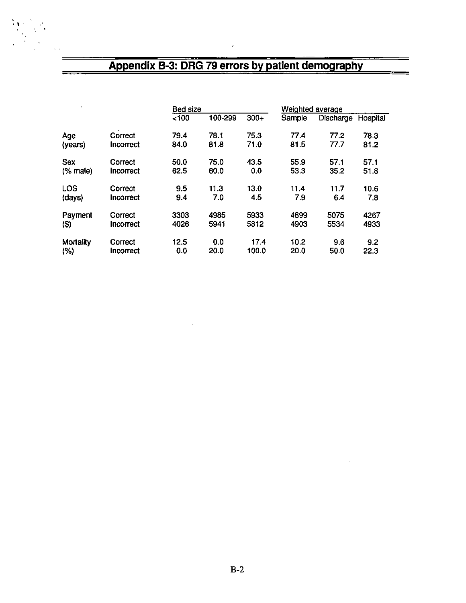## Appendix B-3: DRG 79 errors by patient demography

 $\ddot{\phantom{0}}$ 

| ٠          |           |      | <b>Bed size</b> |        |        | Weighted average |          |  |
|------------|-----------|------|-----------------|--------|--------|------------------|----------|--|
|            |           | <100 | 100-299         | $300+$ | Sample | Discharge        | Hospital |  |
| Age        | Correct   | 79.4 | 78.1            | 75.3   | 77.4   | 77.2             | 78.3     |  |
| (years)    | Incorrect | 84.0 | 81.8            | 71.0   | 81.5   | 77.7             | 81.2     |  |
| <b>Sex</b> | Correct   | 50.0 | 75.0            | 43.5   | 55.9   | 57.1             | 57.1     |  |
| $%$ male)  | Incorrect | 62.5 | 60.0            | 0.0    | 53.3   | 35.2             | 51.8     |  |
| <b>LOS</b> | Correct   | 9.5  | 11.3            | 13.0   | 11.4   | 11.7             | 10.6     |  |
| (days)     | Incorrect | 9.4  | 7.0             | 4.5    | 7.9    | 6.4              | 7.8      |  |
| Payment    | Correct   | 3303 | 4985            | 5933   | 4899   | 5075             | 4267     |  |
| $(\$)$     | Incorrect | 4026 | 5941            | 5812   | 4903   | 5534             | 4933     |  |
| Mortality  | Correct   | 12.5 | 0.0             | 17.4   | 10.2   | 9.6              | 9.2      |  |
| (% )       | Incorrect | 0.0  | 20.0            | 100.0  | 20.0   | 50.0             | 22.3     |  |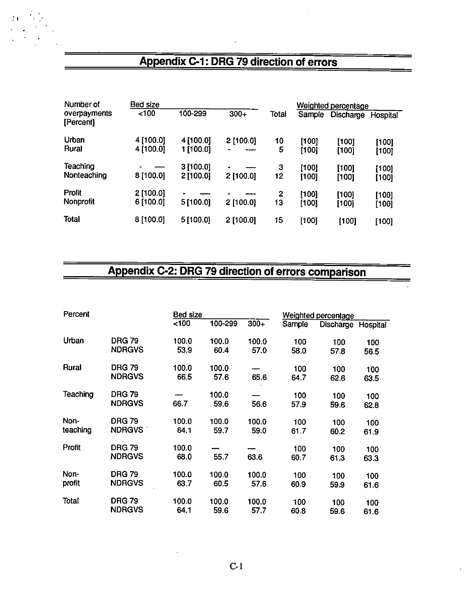### Appendix C-1: DRG 79 direction of errors

| Number of                  | Bed size               | Weighted percentage    |             |         |                |                |                |
|----------------------------|------------------------|------------------------|-------------|---------|----------------|----------------|----------------|
| overpayments<br>[Percent]  | 100 <sub>o</sub>       | 100-299                | $300+$      | Total   | Sample         | Discharge      | Hospital       |
| Urban<br>Rural             | 4 [100.0]<br>4 [100.0] | 4 [100.0]<br>1 [100.0] | 2[100.0]    | 10<br>5 | [100]<br>[100] | [100]<br>[100] | [100]<br>[100] |
| Teaching<br>Nonteaching    | 8 [100.0]              | 3[100.0]<br>2[100.0]   | $2$ [100.0] | 3<br>12 | [100]<br>[100] | [100]<br>[100] | [100]<br>[100] |
| <b>Profit</b><br>Nonprofit | 2 [100.0]<br>6 [100.0] | 5 [100.0]              | $2$ [100.0] | 2<br>13 | [100]<br>[100] | [100]<br>[100] | [100]<br>[100] |
| <b>Total</b>               | 8 [100.0]              | 5[100.0]               | 2[100.0]    | 15      | [100]          | [100]          | [100]          |

# Appendix C-2: DRG 79 direction of errors comparison

| Percent  |               |       | Bed size |        |        | <b>Weighted percentage</b> |          |  |
|----------|---------------|-------|----------|--------|--------|----------------------------|----------|--|
|          |               | 100   | 100-299  | $300+$ | Sample | Discharge                  | Hospital |  |
| Urban    | <b>DRG 79</b> | 100.0 | 100.0    | 100.0  | 100    | 100                        | 100      |  |
|          | <b>NDRGVS</b> | 53.9  | 60.4     | 57.0   | 58.0   | 57.8                       | 56.5     |  |
| Rural    | <b>DRG 79</b> | 100.0 | 100.0    |        | 100    | 100                        | 100      |  |
|          | <b>NDRGVS</b> | 66.5  | 57.6     | 65.6   | 64.7   | 62.6                       | 63.5     |  |
| Teaching | <b>DRG 79</b> |       | 100.0    |        | 100    | 100                        | 100      |  |
|          | <b>NDRGVS</b> | 66.7  | 59.6     | 56.6   | 57.9   | 59.6                       | 62.8     |  |
| Non-     | <b>DRG 79</b> | 100.0 | 100.0    | 100.0  | 100    | 100                        | 100      |  |
| teaching | <b>NDRGVS</b> | 64.1  | 59.7     | 59.0   | 61.7   | 60.2                       | 61.9     |  |
| Profit   | <b>DRG 79</b> | 100.0 |          |        | 100    | 100                        | 100      |  |
|          | <b>NDRGVS</b> | 68.0  | 55.7     | 63.6   | 60.7   | 61.3                       | 63.3     |  |
| Non-     | <b>DRG 79</b> | 100.0 | 100.0    | 100.0  | 100    | 100                        | 100      |  |
| profit   | <b>NDRGVS</b> | 63.7  | 60.5     | 57.6   | 60.9   | 59.9                       | 61.6     |  |
| Total    | <b>DRG 79</b> | 100.0 | 100.0    | 100.0  | 100    | 100                        | 100      |  |
|          | <b>NDRGVS</b> | 64.1  | 59.6     | 57.7   | 60.8   | 59.6                       | 61.6     |  |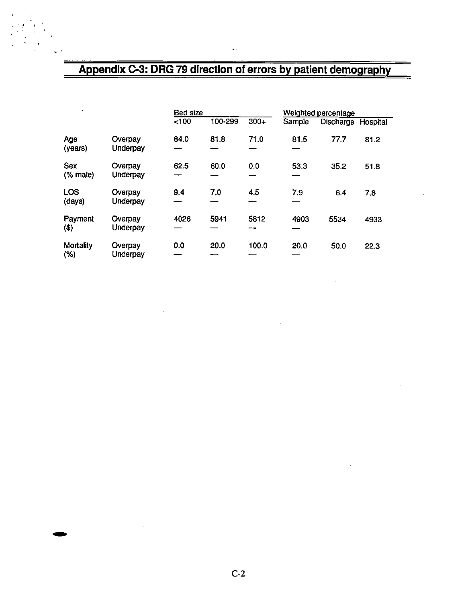# Appendix C-3: DRG 79 direction of errors by patient demography

L.

|                          |                     | <b>Bed size</b> |         |        | Weighted percentage |           |          |
|--------------------------|---------------------|-----------------|---------|--------|---------------------|-----------|----------|
|                          |                     | < 100           | 100-299 | $300+$ | Sample              | Discharge | Hospital |
| Age<br>(years)           | Overpay<br>Underpay | 84.0            | 81.8    | 71.0   | 81.5<br>$-$         | 77.7      | 81.2     |
| Sex<br>$%$ male)         | Overpay<br>Underpay | 62.5            | 60.0    | 0.0    | 53.3                | 35.2      | 51.8     |
| LOS<br>(days)            | Overpay<br>Underpay | 9.4<br>--       | 7.0     | 4.5    | 7.9                 | 6.4       | 7.8      |
| Payment<br>(3)           | Overpay<br>Underpay | 4026            | 5941    | 5812   | 4903                | 5534      | 4933     |
| <b>Mortality</b><br>(% ) | Overpay<br>Underpay | 0.0             | 20.0    | 100.0  | 20.0                | 50.0      | 22.3     |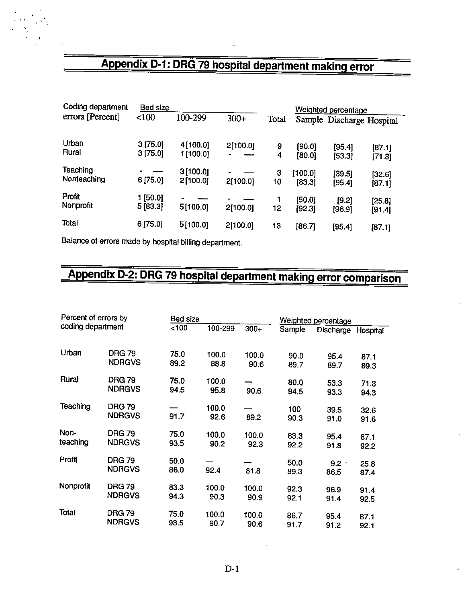# Appendix D-1: DRG 79 hospital department making error

×

| Coding department       | Bed size            |                       |          | Weighted percentage |                   |                    |                           |
|-------------------------|---------------------|-----------------------|----------|---------------------|-------------------|--------------------|---------------------------|
| errors [Percent]        | < 100               | 100-299               | $300+$   | Total               |                   |                    | Sample Discharge Hospital |
| Urban<br>Rural          | 3[75.0]<br>3[75.0]  | 4[100.0]<br>1 [100.0] | 2[100.0] | 9<br>4              | [90.0]<br>[80.0]  | [95.4]<br>[53.3]   | [87.1]<br>[71.3]          |
| Teaching<br>Nonteaching | 6 [75.0]            | 3[100.0]<br>2[100.0]  | 2[100.0] | 3<br>10             | [100.0]<br>[83.3] | $[39.5]$<br>[95.4] | [32.6]<br>[87.1]          |
| Profit<br>Nonprofit     | 1 [50.0]<br>5[83.3] | 5[100.0]              | 2[100.0] | 12                  | [50.0]<br>[92.3]  | [9.2]<br>[96.9]    | [25.8]<br>[91.4]          |
| Total                   | 6 [75.0]            | 5[100.0]              | 2[100.0] | 13                  | [86.7]            | [95.4]             | [87.1]                    |

Balance of errors made by hospital billing department.

# Appendix D-2: DRG 79 hospital department making error comparison

| Percent of errors by |                                |              | Bed size      |               |              | Weighted percentage |              |  |
|----------------------|--------------------------------|--------------|---------------|---------------|--------------|---------------------|--------------|--|
| coding department    |                                | 100          | 100-299       | $300+$        | Sample       | Discharge Hospital  |              |  |
| Urban                | <b>DRG 79</b>                  | 75.0         | 100.0         | 100.0         | 90.0         | 95.4                | 87.1         |  |
|                      | <b>NDRGVS</b>                  | 89.2         | 88.8          | 90.6          | 89.7         | 89.7                | 89.3         |  |
| Rural                | <b>DRG 79</b>                  | 75.0         | 100.0         |               | 80.0         | 53.3                | 71.3         |  |
|                      | <b>NDRGVS</b>                  | 94.5         | 95.8          | 90.6          | 94.5         | 93.3                | 94.3         |  |
| Teaching             | <b>DRG 79</b><br><b>NDRGVS</b> | 91.7         | 100.0<br>92.6 | 89.2          | 100<br>90.3  | 39.5<br>91.0        | 32.6<br>91.6 |  |
| Non-<br>teaching     | <b>DRG 79</b><br><b>NDRGVS</b> | 75.0<br>93.5 | 100.0<br>90.2 | 100.0<br>92.3 | 83.3<br>92.2 | 95.4<br>91.8        | 87.1<br>92.2 |  |
| Profit               | <b>DRG 79</b><br><b>NDRGVS</b> | 50.0<br>86.0 | 92.4          | 81.8          | 50.0<br>89.3 | 9.2<br>86.5         | 25.8<br>87.4 |  |
| Nonprofit            | <b>DRG 79</b><br><b>NDRGVS</b> | 83.3<br>94.3 | 100.0<br>90.3 | 100.0<br>90.9 | 92.3<br>92.1 | 96.9<br>91.4        | 91.4<br>92.5 |  |
| Total                | <b>DRG 79</b><br><b>NDRGVS</b> | 75.0<br>93.5 | 100.0<br>90.7 | 100.0<br>90.6 | 86.7<br>91.7 | 95.4<br>91.2        | 87.1<br>92.1 |  |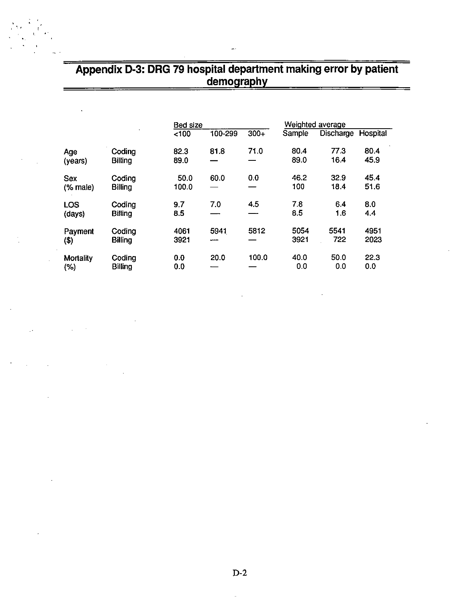# Appendix D-3: DRG 79 hospital department making error by patient<br>demography

|                      |                          | <b>Bed size</b> |             |        |              | Weighted average |              |  |
|----------------------|--------------------------|-----------------|-------------|--------|--------------|------------------|--------------|--|
|                      |                          | 100             | 100-299     | $300+$ | Sample       | Discharge        | Hospital     |  |
| Age<br>(years)       | Coding<br><b>Billing</b> | 82.3<br>89.0    | 81.8        | 71.0   | 80.4<br>89.0 | 773<br>16.4      | 80.4<br>45.9 |  |
| Sex<br>(% male)      | Coding<br><b>Billing</b> | 50.0<br>100.0   | 60.0        | 0.0    | 46.2<br>100  | 32.9<br>18.4     | 45.4<br>51.6 |  |
| <b>LOS</b><br>(days) | Coding<br><b>Billing</b> | 9.7<br>8.5      | 7.0         | 4.5    | 7.8<br>8.5   | 6.4<br>1.6       | 8.0<br>4.4   |  |
| Payment<br>(3)       | Coding<br><b>Billing</b> | 4061<br>3921    | 5941<br>--- | 5812   | 5054<br>3921 | 5541<br>722      | 4951<br>2023 |  |
| Mortality<br>(% )    | Coding<br><b>Billing</b> | 0.0<br>0.0      | 20.0        | 100.0  | 40.0<br>0.0  | 50.0<br>0.0      | 22.3<br>0.0  |  |

t.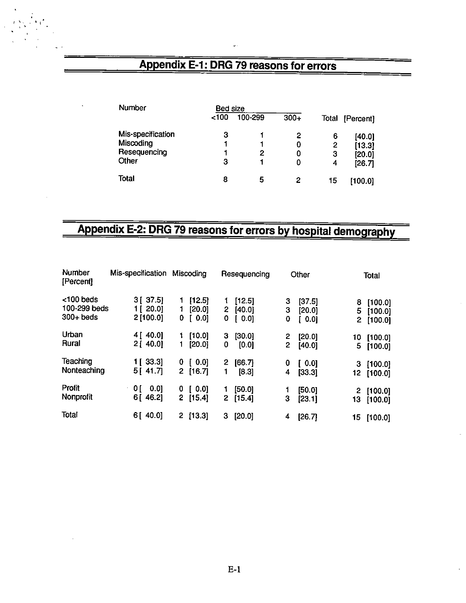# Appendix E-1: DRG 79 reasons for errors

| <b>Number</b>     | <b>Bed size</b> |         |        |       |           |
|-------------------|-----------------|---------|--------|-------|-----------|
|                   | ~100            | 100-299 | $300+$ | Total | [Percent] |
| Mis-specification | 3               |         | 2      | 6     | [40.0]    |
| Miscoding         |                 |         | 0      | 2     | [13.3]    |
| Resequencing      |                 | 2       | 0      | з     | [20.0]    |
| Other             | 3               |         | 0      | 4     | [26.7]    |
| <b>Total</b>      | 8               | 5       | 2      | 15    | [100.0]   |

# Appendix E-2: DRG 79 reasons for errors by hospital demography

| Number<br>[Percent]                      | Mis-specification                  | Miscoding                                  | Resequencing                       | Other                                    | Total                                         |
|------------------------------------------|------------------------------------|--------------------------------------------|------------------------------------|------------------------------------------|-----------------------------------------------|
| <100 beds<br>100-299 beds<br>$300+$ beds | 3 [ 37.5]<br>1 [ 20.0]<br>2[100.0] | [12.5]<br>1.<br>[20.0]<br>1.<br>[0.0]<br>0 | [12.5]<br>2<br>[40.0]<br>0.0]<br>0 | з<br>[37.5]<br>3<br>[20.0]<br>0<br>[0.0] | [100.0]<br>8<br>5<br>[100.0]<br>2.<br>[100.0] |
| Urban<br>Rural                           | 4[40.0]<br>2[40.0]                 | [10.0]<br>[20.0]<br>1.                     | [30.0]<br>з<br>[0.0]<br>0          | 2<br>[20.0]<br>2.<br>[40.0]              | 10<br>[100.0]<br>5.<br>[100.0]                |
| Teaching<br>Nonteaching                  | 1 [ 33.3]<br>5[41.7]               | [0.0]<br>0<br>2[16.7]                      | [66.7]<br>2<br>[8.3]<br>1          | 0<br>[0.0]<br>[33.3]<br>4                | [100.0]<br>3<br>12<br>[100.0]                 |
| Profit<br>Nonprofit                      | 0.01<br>0 [<br>6[46.2]             | [0.0]<br>0<br>2.<br>[15.4]                 | [50.0]<br>1<br>2<br>[15.4]         | [50.0]<br>3<br>[23.1]                    | $\mathbf{2}$<br>[100.0]<br>13<br>[100.0]      |
| Total                                    | 6[ 40.0]                           | $\mathbf{2}^-$<br>[13.3]                   | [20.0]<br>3                        | [26.7]<br>4                              | 15<br>[100.0]                                 |

ä,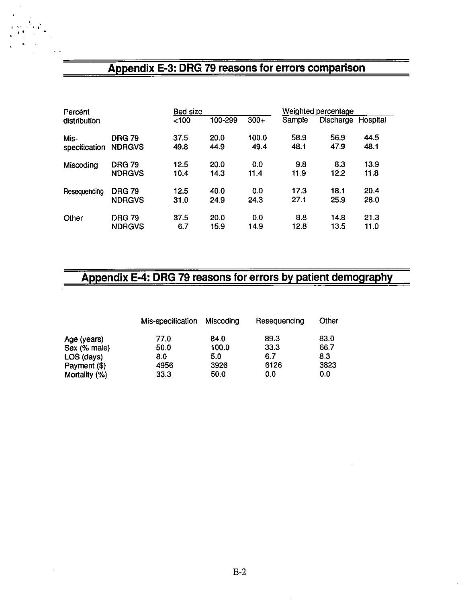### Appendix E-3: DRG 79 reasons for errors comparison

| Percent       |               | <b>Bed size</b> |         |        | Weighted percentage |           |          |
|---------------|---------------|-----------------|---------|--------|---------------------|-----------|----------|
| distribution  |               | < 100           | 100-299 | $300+$ | Sample              | Discharge | Hospital |
| Mis-          | <b>DRG 79</b> | 37.5            | 20.0    | 100.0  | 58.9                | 56.9      | 44.5     |
| specification | <b>NDRGVS</b> | 49.8            | 44.9    | 49.4   | 48.1                | 47.9      | 48.1     |
| Miscoding     | <b>DRG 79</b> | 12.5            | 20.0    | 0.0    | 9.8                 | 8.3       | 13.9     |
|               | <b>NDRGVS</b> | 10.4            | 14.3    | 11.4   | 11.9                | 12.2      | 11.8     |
| Resequencing  | <b>DRG 79</b> | 12.5            | 40.0    | 0.0    | 17.3                | 18.1      | 20.4     |
|               | <b>NDRGVS</b> | 31.0            | 24.9    | 24.3   | 27.1                | 25.9      | 28.0     |
| Other         | <b>DRG 79</b> | 37.5            | 20.0    | 0.0    | 8.8                 | 14.8      | 21.3     |
|               | <b>NDRGVS</b> | 6.7             | 15.9    | 14.9   | 12.8                | 13.5      | 11.0     |

### Appendix E-4: DRG 79 reasons for errors by patient demography

|               | Mis-specification | Miscoding | Resequencing | Other |
|---------------|-------------------|-----------|--------------|-------|
| Age (years)   | 77.0              | 84.0      | 89.3         | 83.0  |
| Sex (% male)  | 50.0              | 100.0     | 33.3         | 66.7  |
| LOS (days)    | 8.0               | 5.0       | 6.7          | 8.3   |
| Payment (\$)  | 4956              | 3926      | 6126         | 3823  |
| Mortality (%) | 33.3              | 50.0      | 00           | 0.0   |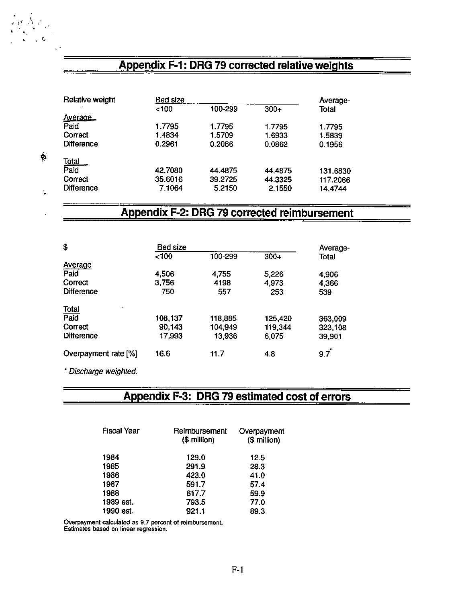## Appendix F-1: DRG 79 corrected relative weights

| Relative weight   | <b>Bed size</b> |         |         |              |  |  |
|-------------------|-----------------|---------|---------|--------------|--|--|
|                   | ~100            | 100-299 | $300+$  | <b>Total</b> |  |  |
| Average           |                 |         |         |              |  |  |
| Paid              | 1.7795          | 1.7795  | 1.7795  | 1.7795       |  |  |
| Correct           | 1.4834          | 1.5709  | 1.6933  | 1.5839       |  |  |
| <b>Difference</b> | 0.2961          | 0.2086  | 0.0862  | 0.1956       |  |  |
| <b>Total</b>      |                 |         |         |              |  |  |
| Paid              | 42.7080         | 44.4875 | 44.4875 | 131.6830     |  |  |
| Correct           | 35.6016         | 39.2725 | 44.3325 | 117.2086     |  |  |
| <b>Difference</b> | 7.1064          | 5.2150  | 2.1550  | 14.4744      |  |  |

### Appendix F-2: DRG 79 corrected reimbursement

| \$                   | Bed size |         |         | Average-     |
|----------------------|----------|---------|---------|--------------|
|                      | <100     | 100-299 | $300+$  | <b>Total</b> |
| <b>Average</b>       |          |         |         |              |
| Paid                 | 4,506    | 4,755   | 5,226   | 4,906        |
| Correct              | 3,756    | 4198    | 4,973   | 4,366        |
| <b>Difference</b>    | 750      | 557     | 253     | 539          |
| <b>Total</b>         |          |         |         |              |
| Paid                 | 108,137  | 118,885 | 125,420 | 363,009      |
| Correct              | 90,143   | 104,949 | 119,344 | 323,108      |
| <b>Difference</b>    | 17,993   | 13,936  | 6,075   | 39,901       |
| Overpayment rate [%] | 16.6     | 11.7    | 4.8     | 9.7          |

. Discharge weighted.

 $\mu$  .  $\Lambda$  if

v-.

 $\boldsymbol{\gamma}$ 

### Appendix F-3: DRG 79 estimated cost of errors

| Reimbursement<br>(\$ million) | Overpayment<br>(\$ million) |  |  |
|-------------------------------|-----------------------------|--|--|
| 129.0                         | 12.5                        |  |  |
| 291.9                         | 28.3                        |  |  |
| 423.0                         | 41.0                        |  |  |
| 591.7                         | 57.4                        |  |  |
| 617.7                         | 59.9                        |  |  |
| 793.5                         | 77.0                        |  |  |
| 921.1                         | 89.3                        |  |  |
|                               |                             |  |  |

Overpayment calculated as 9.7 percent of reimbursement.<br>Estimates based on linear regression.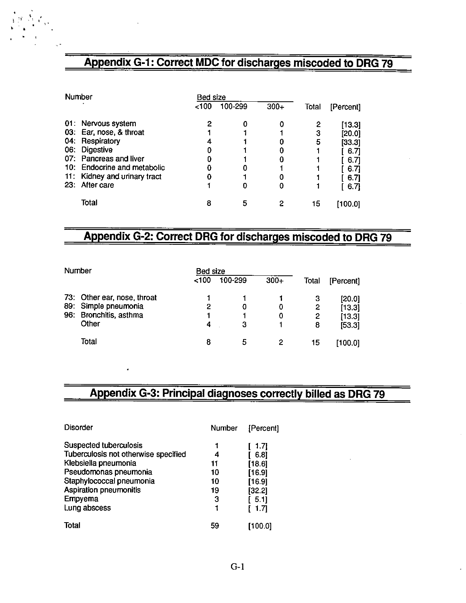# Appendix G-1: Correct MDC for discharges miscoded to DRG 79

|     | Number                      | Bed size         |         |        |       |           |
|-----|-----------------------------|------------------|---------|--------|-------|-----------|
|     |                             | 100 <sub>2</sub> | 100-299 | $300+$ | Total | [Percent] |
|     | 01: Nervous system          | 2                |         |        | 2     | [13.3]    |
|     | 03: Ear, nose, & throat     |                  |         |        | 3     | [20.0]    |
|     | 04: Respiratory             | 4                |         |        | 5     | [33.3]    |
| 06: | <b>Digestive</b>            |                  |         |        |       | -6.71     |
|     | 07: Pancreas and liver      |                  |         |        |       | 6.7       |
|     | 10. Endocrine and metabolic |                  |         |        |       | 6.7       |
| 11: | Kidney and urinary tract    |                  |         |        |       | 6.71      |
| 23: | After care                  |                  |         | 0      |       | 6.7       |
|     | Total                       | 8                | 5       |        | 15    | [100.0]   |

 $1 - 1$ 

### Appendix G-2: Correct DRG for discharges miscoded to DRG 79

| Number |                             | Bed size |         |        |       |           |
|--------|-----------------------------|----------|---------|--------|-------|-----------|
|        |                             | 100      | 100-299 | $300+$ | Total | [Percent] |
|        | 73: Other ear, nose, throat |          |         |        | 3     | [20.0]    |
|        | 89: Simple pneumonia        | 2        |         | 0      | 2     | [13.3]    |
| 96:    | Bronchitis, asthma          |          |         | 0      | 2     | [13.3]    |
|        | Other                       | 4        | З       |        | 8     | [53.3]    |
|        | Total                       | 8        | ь       | 2      | 15    | [100.0]   |

# Appendix G-3: Principal diagnoses correctly billed as DRG 79

| <b>Disorder</b>                      | Number | [Percent] |
|--------------------------------------|--------|-----------|
| Suspected tuberculosis               |        | 1.7       |
| Tuberculosis not otherwise specified | 4      | 6.8       |
| Klebsiella pneumonia                 | 11     | [18.6]    |
| Pseudomonas pneumonia                | 10     | [16.9]    |
| Staphylococcal pneumonia             | 10     | [16.9]    |
| Aspiration pneumonitis               | 19     | [32.2]    |
| Empyema                              | 3      | 5.11      |
| Lung abscess                         |        | 1.71      |
| Total                                | 59     | [100.0]   |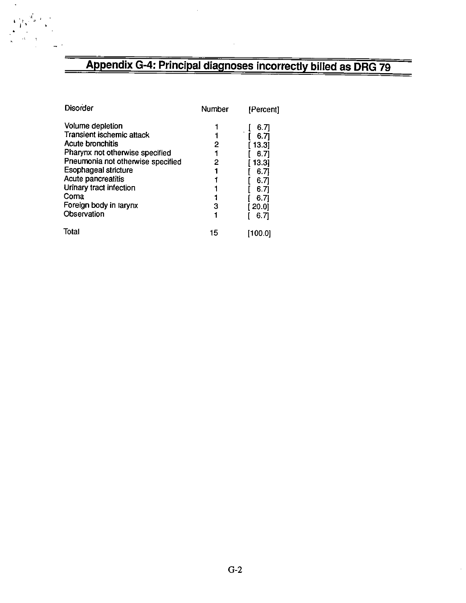# Appendix G-4: Principal diagnoses incorrectly billed as DRG 79

| <b>Disorder</b>                   | Number | [Percent]    |
|-----------------------------------|--------|--------------|
| Volume depletion                  |        | 6.7          |
| Transient ischemic attack         | 1      | 6.7          |
| Acute bronchitis                  | 2      | 13.31        |
| Pharynx not otherwise specified   |        | 6.71         |
| Pneumonia not otherwise specified | 2      | 13.31        |
| <b>Esophageal stricture</b>       |        | 6.71         |
| Acute pancreatitis                |        | 6.71         |
| Urinary tract infection           |        | 6.71         |
| Coma                              |        | 6.71         |
| Foreign body in larynx            | 3      | <b>20.01</b> |
| Observation                       |        | 6.71         |
| Total                             | 15     | [100.0]      |